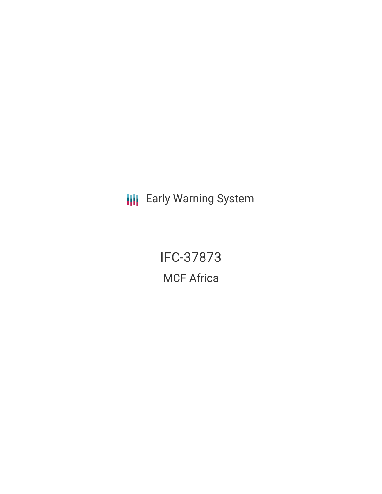**III** Early Warning System

IFC-37873 MCF Africa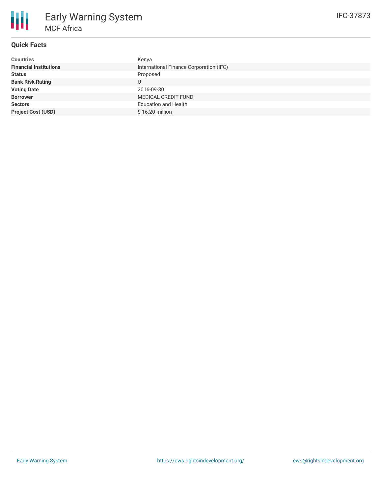

# **Quick Facts**

| <b>Countries</b>              | Kenya                                   |
|-------------------------------|-----------------------------------------|
| <b>Financial Institutions</b> | International Finance Corporation (IFC) |
| <b>Status</b>                 | Proposed                                |
| <b>Bank Risk Rating</b>       | U                                       |
| <b>Voting Date</b>            | 2016-09-30                              |
| <b>Borrower</b>               | <b>MEDICAL CREDIT FUND</b>              |
| <b>Sectors</b>                | <b>Education and Health</b>             |
| <b>Project Cost (USD)</b>     | $$16.20$ million                        |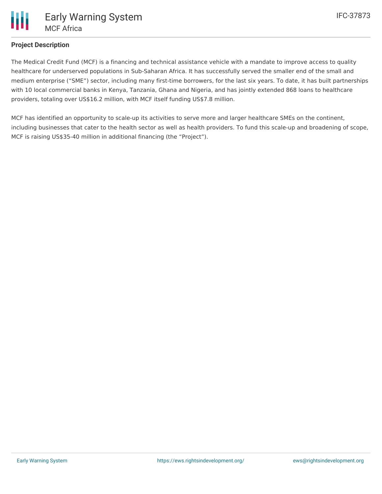

## **Project Description**

The Medical Credit Fund (MCF) is a financing and technical assistance vehicle with a mandate to improve access to quality healthcare for underserved populations in Sub-Saharan Africa. It has successfully served the smaller end of the small and medium enterprise ("SME") sector, including many first-time borrowers, for the last six years. To date, it has built partnerships with 10 local commercial banks in Kenya, Tanzania, Ghana and Nigeria, and has jointly extended 868 loans to healthcare providers, totaling over US\$16.2 million, with MCF itself funding US\$7.8 million.

MCF has identified an opportunity to scale-up its activities to serve more and larger healthcare SMEs on the continent, including businesses that cater to the health sector as well as health providers. To fund this scale-up and broadening of scope, MCF is raising US\$35-40 million in additional financing (the "Project").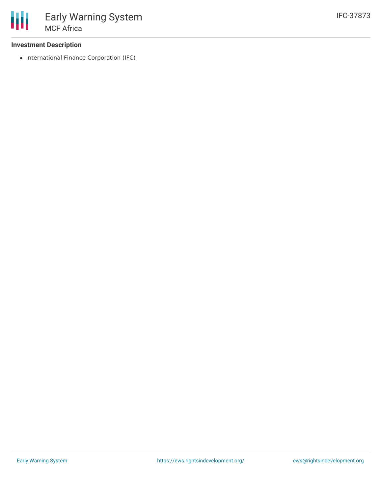### **Investment Description**

• International Finance Corporation (IFC)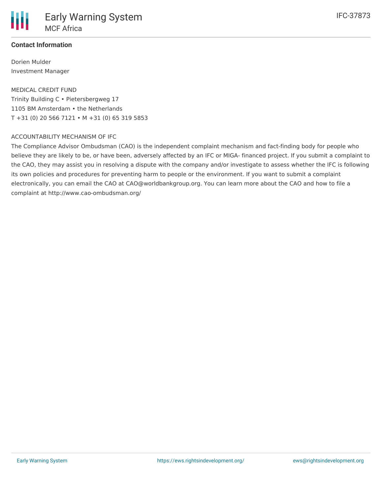### **Contact Information**

Dorien Mulder Investment Manager

MEDICAL CREDIT FUND Trinity Building C • Pietersbergweg 17 1105 BM Amsterdam • the Netherlands T +31 (0) 20 566 7121 • M +31 (0) 65 319 5853

#### ACCOUNTABILITY MECHANISM OF IFC

The Compliance Advisor Ombudsman (CAO) is the independent complaint mechanism and fact-finding body for people who believe they are likely to be, or have been, adversely affected by an IFC or MIGA- financed project. If you submit a complaint to the CAO, they may assist you in resolving a dispute with the company and/or investigate to assess whether the IFC is following its own policies and procedures for preventing harm to people or the environment. If you want to submit a complaint electronically, you can email the CAO at CAO@worldbankgroup.org. You can learn more about the CAO and how to file a complaint at http://www.cao-ombudsman.org/